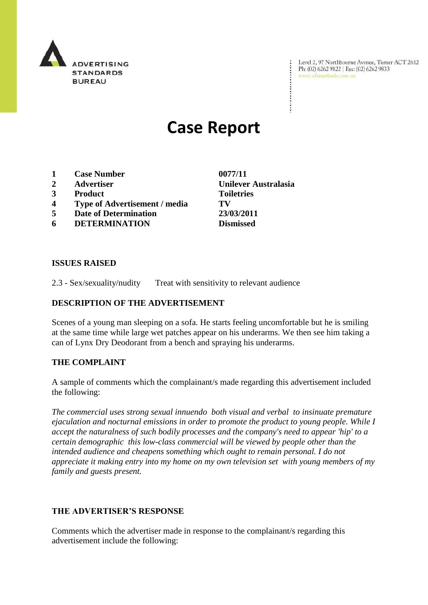

Level 2, 97 Northbourne Avenue, Turner ACT 2612<br>Ph: (02) 6262 9822 | Fax: (02) 6262 9833<br>www.adstandards.com.au www.adstandards.com.au

# **Case Report**

- **1 Case Number 0077/11**
- 
- **3 Product Toiletries**
- **4 Type of Advertisement / media TV**
- **5 Date of Determination 23/03/2011**
- **6 DETERMINATION Dismissed**

**ISSUES RAISED**

2.3 - Sex/sexuality/nudity Treat with sensitivity to relevant audience

## **DESCRIPTION OF THE ADVERTISEMENT**

Scenes of a young man sleeping on a sofa. He starts feeling uncomfortable but he is smiling at the same time while large wet patches appear on his underarms. We then see him taking a can of Lynx Dry Deodorant from a bench and spraying his underarms.

## **THE COMPLAINT**

A sample of comments which the complainant/s made regarding this advertisement included the following:

*The commercial uses strong sexual innuendo both visual and verbal to insinuate premature ejaculation and nocturnal emissions in order to promote the product to young people. While I accept the naturalness of such bodily processes and the company's need to appear 'hip' to a certain demographic this low-class commercial will be viewed by people other than the intended audience and cheapens something which ought to remain personal. I do not appreciate it making entry into my home on my own television set with young members of my family and guests present.*

## **THE ADVERTISER'S RESPONSE**

Comments which the advertiser made in response to the complainant/s regarding this advertisement include the following:

**2 Advertiser Unilever Australasia**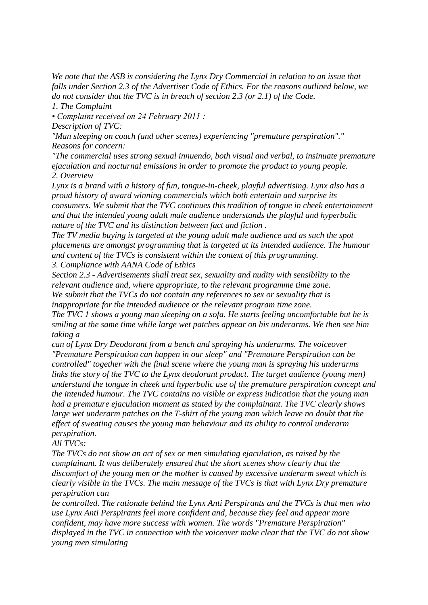*We note that the ASB is considering the Lynx Dry Commercial in relation to an issue that falls under Section 2.3 of the Advertiser Code of Ethics. For the reasons outlined below, we do not consider that the TVC is in breach of section 2.3 (or 2.1) of the Code.*

*1. The Complaint*

*• Complaint received on 24 February 2011 :*

*Description of TVC:*

*"Man sleeping on couch (and other scenes) experiencing "premature perspiration"." Reasons for concern:*

*"The commercial uses strong sexual innuendo, both visual and verbal, to insinuate premature ejaculation and nocturnal emissions in order to promote the product to young people. 2. Overview*

*Lynx is a brand with a history of fun, tongue-in-cheek, playful advertising. Lynx also has a proud history of award winning commercials which both entertain and surprise its consumers. We submit that the TVC continues this tradition of tongue in cheek entertainment and that the intended young adult male audience understands the playful and hyperbolic nature of the TVC and its distinction between fact and fiction .*

*The TV media buying is targeted at the young adult male audience and as such the spot placements are amongst programming that is targeted at its intended audience. The humour and content of the TVCs is consistent within the context of this programming. 3. Compliance with AANA Code of Ethics*

*Section 2.3 - Advertisements shall treat sex, sexuality and nudity with sensibility to the relevant audience and, where appropriate, to the relevant programme time zone. We submit that the TVCs do not contain any references to sex or sexuality that is* 

*inappropriate for the intended audience or the relevant program time zone.*

*The TVC 1 shows a young man sleeping on a sofa. He starts feeling uncomfortable but he is smiling at the same time while large wet patches appear on his underarms. We then see him taking a*

*can of Lynx Dry Deodorant from a bench and spraying his underarms. The voiceover "Premature Perspiration can happen in our sleep" and "Premature Perspiration can be controlled" together with the final scene where the young man is spraying his underarms links the story of the TVC to the Lynx deodorant product. The target audience (young men) understand the tongue in cheek and hyperbolic use of the premature perspiration concept and the intended humour. The TVC contains no visible or express indication that the young man had a premature ejaculation moment as stated by the complainant. The TVC clearly shows large wet underarm patches on the T-shirt of the young man which leave no doubt that the effect of sweating causes the young man behaviour and its ability to control underarm perspiration.*

*All TVCs:*

*The TVCs do not show an act of sex or men simulating ejaculation, as raised by the complainant. It was deliberately ensured that the short scenes show clearly that the discomfort of the young men or the mother is caused by excessive underarm sweat which is clearly visible in the TVCs. The main message of the TVCs is that with Lynx Dry premature perspiration can*

*be controlled. The rationale behind the Lynx Anti Perspirants and the TVCs is that men who use Lynx Anti Perspirants feel more confident and, because they feel and appear more confident, may have more success with women. The words "Premature Perspiration" displayed in the TVC in connection with the voiceover make clear that the TVC do not show young men simulating*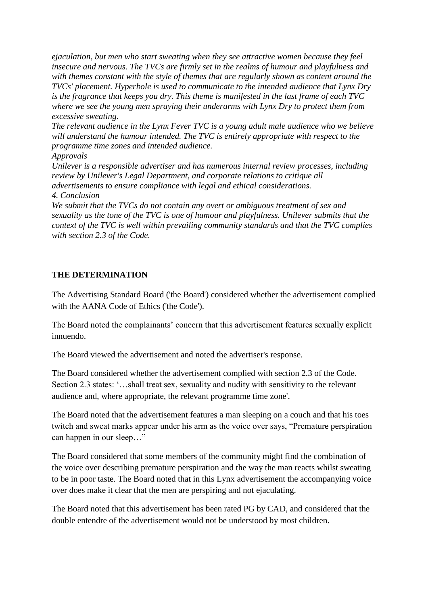*ejaculation, but men who start sweating when they see attractive women because they feel insecure and nervous. The TVCs are firmly set in the realms of humour and playfulness and with themes constant with the style of themes that are regularly shown as content around the TVCs' placement. Hyperbole is used to communicate to the intended audience that Lynx Dry is the fragrance that keeps you dry. This theme is manifested in the last frame of each TVC where we see the young men spraying their underarms with Lynx Dry to protect them from excessive sweating.*

*The relevant audience in the Lynx Fever TVC is a young adult male audience who we believe will understand the humour intended. The TVC is entirely appropriate with respect to the programme time zones and intended audience.*

*Approvals*

*Unilever is a responsible advertiser and has numerous internal review processes, including review by Unilever's Legal Department, and corporate relations to critique all advertisements to ensure compliance with legal and ethical considerations. 4. Conclusion*

*We submit that the TVCs do not contain any overt or ambiguous treatment of sex and sexuality as the tone of the TVC is one of humour and playfulness. Unilever submits that the context of the TVC is well within prevailing community standards and that the TVC complies with section 2.3 of the Code.*

# **THE DETERMINATION**

The Advertising Standard Board ('the Board') considered whether the advertisement complied with the AANA Code of Ethics ('the Code').

The Board noted the complainants' concern that this advertisement features sexually explicit innuendo.

The Board viewed the advertisement and noted the advertiser's response.

The Board considered whether the advertisement complied with section 2.3 of the Code. Section 2.3 states: '...shall treat sex, sexuality and nudity with sensitivity to the relevant audience and, where appropriate, the relevant programme time zone'.

The Board noted that the advertisement features a man sleeping on a couch and that his toes twitch and sweat marks appear under his arm as the voice over says, "Premature perspiration can happen in our sleep…"

The Board considered that some members of the community might find the combination of the voice over describing premature perspiration and the way the man reacts whilst sweating to be in poor taste. The Board noted that in this Lynx advertisement the accompanying voice over does make it clear that the men are perspiring and not ejaculating.

The Board noted that this advertisement has been rated PG by CAD, and considered that the double entendre of the advertisement would not be understood by most children.